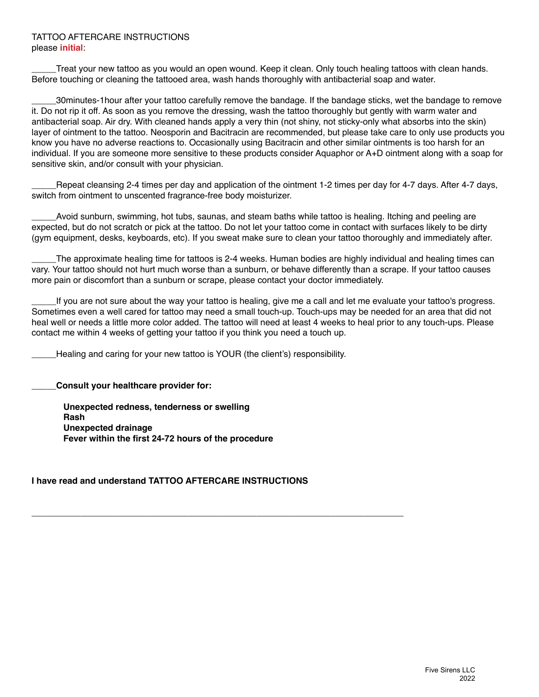#### TATTOO AFTERCARE INSTRUCTIONS please **initial**:

Treat your new tattoo as you would an open wound. Keep it clean. Only touch healing tattoos with clean hands. Before touching or cleaning the tattooed area, wash hands thoroughly with antibacterial soap and water.

\_\_\_\_\_30minutes-1hour after your tattoo carefully remove the bandage. If the bandage sticks, wet the bandage to remove it. Do not rip it off. As soon as you remove the dressing, wash the tattoo thoroughly but gently with warm water and antibacterial soap. Air dry. With cleaned hands apply a very thin (not shiny, not sticky-only what absorbs into the skin) layer of ointment to the tattoo. Neosporin and Bacitracin are recommended, but please take care to only use products you know you have no adverse reactions to. Occasionally using Bacitracin and other similar ointments is too harsh for an individual. If you are someone more sensitive to these products consider Aquaphor or A+D ointment along with a soap for sensitive skin, and/or consult with your physician.

Repeat cleansing 2-4 times per day and application of the ointment 1-2 times per day for 4-7 days. After 4-7 days, switch from ointment to unscented fragrance-free body moisturizer.

Avoid sunburn, swimming, hot tubs, saunas, and steam baths while tattoo is healing. Itching and peeling are expected, but do not scratch or pick at the tattoo. Do not let your tattoo come in contact with surfaces likely to be dirty (gym equipment, desks, keyboards, etc). If you sweat make sure to clean your tattoo thoroughly and immediately after.

The approximate healing time for tattoos is 2-4 weeks. Human bodies are highly individual and healing times can vary. Your tattoo should not hurt much worse than a sunburn, or behave differently than a scrape. If your tattoo causes more pain or discomfort than a sunburn or scrape, please contact your doctor immediately.

If you are not sure about the way your tattoo is healing, give me a call and let me evaluate your tattoo's progress. Sometimes even a well cared for tattoo may need a small touch-up. Touch-ups may be needed for an area that did not heal well or needs a little more color added. The tattoo will need at least 4 weeks to heal prior to any touch-ups. Please contact me within 4 weeks of getting your tattoo if you think you need a touch up.

Healing and caring for your new tattoo is YOUR (the client's) responsibility.

**\_\_\_\_\_Consult your healthcare provider for:**

**Unexpected redness, tenderness or swelling Rash Unexpected drainage Fever within the first 24-72 hours of the procedure**

## **I have read and understand TATTOO AFTERCARE INSTRUCTIONS**

**\_\_\_\_\_\_\_\_\_\_\_\_\_\_\_\_\_\_\_\_\_\_\_\_\_\_\_\_\_\_\_\_\_\_\_\_\_\_\_\_\_\_\_\_\_\_\_\_\_\_\_\_\_\_\_\_\_\_\_\_\_\_\_\_\_\_\_\_\_\_\_\_\_\_\_\_**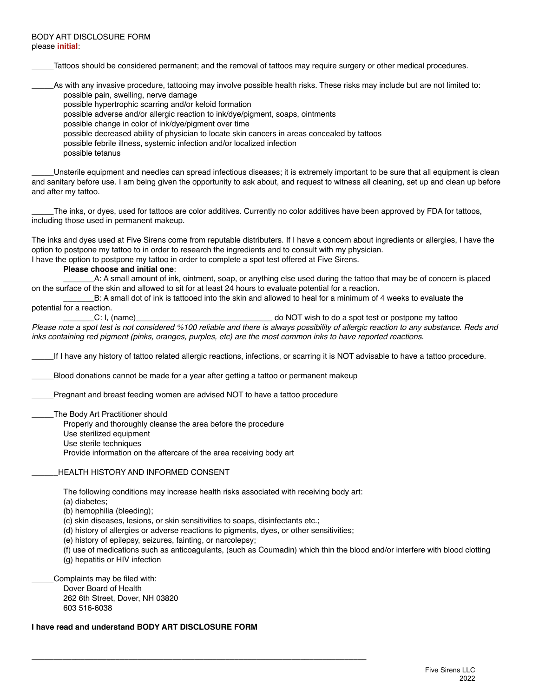Tattoos should be considered permanent; and the removal of tattoos may require surgery or other medical procedures.

\_\_\_\_\_As with any invasive procedure, tattooing may involve possible health risks. These risks may include but are not limited to: possible pain, swelling, nerve damage

possible hypertrophic scarring and/or keloid formation

possible adverse and/or allergic reaction to ink/dye/pigment, soaps, ointments

possible change in color of ink/dye/pigment over time

possible decreased ability of physician to locate skin cancers in areas concealed by tattoos

possible febrile illness, systemic infection and/or localized infection

possible tetanus

Unsterile equipment and needles can spread infectious diseases; it is extremely important to be sure that all equipment is clean and sanitary before use. I am being given the opportunity to ask about, and request to witness all cleaning, set up and clean up before and after my tattoo.

The inks, or dyes, used for tattoos are color additives. Currently no color additives have been approved by FDA for tattoos, including those used in permanent makeup.

The inks and dyes used at Five Sirens come from reputable distributers. If I have a concern about ingredients or allergies, I have the option to postpone my tattoo to in order to research the ingredients and to consult with my physician.

I have the option to postpone my tattoo in order to complete a spot test offered at Five Sirens.

**Please choose and initial one**:

\_\_\_\_\_\_\_A: A small amount of ink, ointment, soap, or anything else used during the tattoo that may be of concern is placed on the surface of the skin and allowed to sit for at least 24 hours to evaluate potential for a reaction.

B: A small dot of ink is tattooed into the skin and allowed to heal for a minimum of 4 weeks to evaluate the

potential for a reaction.

C: I, (name) C: I, (name) C: I, (name) contract of the state of  $\sim$  do NOT wish to do a spot test or postpone my tattoo

*Please note a spot test is not considered %100 reliable and there is always possibility of allergic reaction to any substance. Reds and inks containing red pigment (pinks, oranges, purples, etc) are the most common inks to have reported reactions.*

\_\_\_\_\_If I have any history of tattoo related allergic reactions, infections, or scarring it is NOT advisable to have a tattoo procedure.

Blood donations cannot be made for a year after getting a tattoo or permanent makeup

Pregnant and breast feeding women are advised NOT to have a tattoo procedure

The Body Art Practitioner should

Properly and thoroughly cleanse the area before the procedure

Use sterilized equipment

Use sterile techniques

Provide information on the aftercare of the area receiving body art

HEALTH HISTORY AND INFORMED CONSENT

The following conditions may increase health risks associated with receiving body art:

(a) diabetes;

(b) hemophilia (bleeding);

(c) skin diseases, lesions, or skin sensitivities to soaps, disinfectants etc.;

**\_\_\_\_\_\_\_\_\_\_\_\_\_\_\_\_\_\_\_\_\_\_\_\_\_\_\_\_\_\_\_\_\_\_\_\_\_\_\_\_\_\_\_\_\_\_\_\_\_\_\_\_\_\_\_\_\_\_\_\_\_\_\_\_\_\_\_\_\_\_\_\_\_\_\_\_**

(d) history of allergies or adverse reactions to pigments, dyes, or other sensitivities;

(e) history of epilepsy, seizures, fainting, or narcolepsy;

(f) use of medications such as anticoagulants, (such as Coumadin) which thin the blood and/or interfere with blood clotting (g) hepatitis or HIV infection

Complaints may be filed with: Dover Board of Health 262 6th Street, Dover, NH 03820 603 516-6038

**I have read and understand BODY ART DISCLOSURE FORM**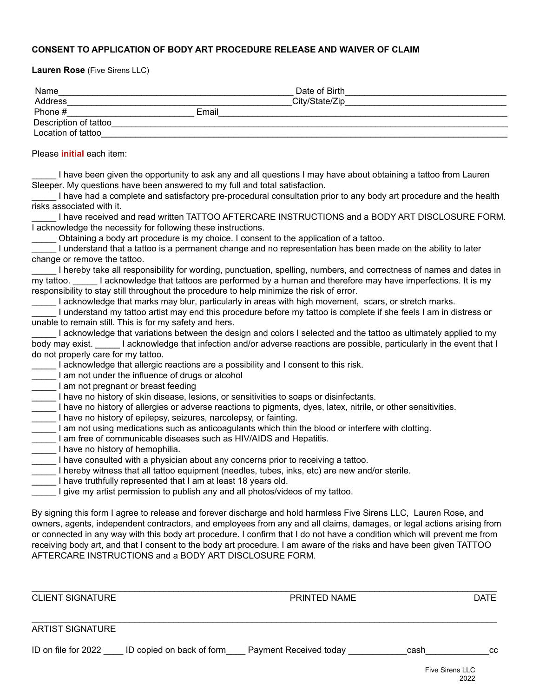### **CONSENT TO APPLICATION OF BODY ART PROCEDURE RELEASE AND WAIVER OF CLAIM**

**Lauren Rose** (Five Sirens LLC)

| Name                   |       | Date of Birth  |  |
|------------------------|-------|----------------|--|
| Address                |       | City/State/Zip |  |
| Phone #                | Email |                |  |
| Description of tattoo_ |       |                |  |
| Location of tattoo     |       |                |  |

Please **initial** each item:

I have been given the opportunity to ask any and all questions I may have about obtaining a tattoo from Lauren Sleeper. My questions have been answered to my full and total satisfaction.

\_\_\_\_\_ I have had a complete and satisfactory pre-procedural consultation prior to any body art procedure and the health risks associated with it.

I have received and read written TATTOO AFTERCARE INSTRUCTIONS and a BODY ART DISCLOSURE FORM. I acknowledge the necessity for following these instructions.

\_\_\_\_\_ Obtaining a body art procedure is my choice. I consent to the application of a tattoo.

\_\_\_\_\_ I understand that a tattoo is a permanent change and no representation has been made on the ability to later change or remove the tattoo.

I hereby take all responsibility for wording, punctuation, spelling, numbers, and correctness of names and dates in my tattoo. I acknowledge that tattoos are performed by a human and therefore may have imperfections. It is my responsibility to stay still throughout the procedure to help minimize the risk of error.

I acknowledge that marks may blur, particularly in areas with high movement, scars, or stretch marks.

\_\_\_\_\_ I understand my tattoo artist may end this procedure before my tattoo is complete if she feels I am in distress or unable to remain still. This is for my safety and hers.

|                                     | I acknowledge that variations between the design and colors I selected and the tattoo as ultimately applied to my |
|-------------------------------------|-------------------------------------------------------------------------------------------------------------------|
| body may exist.                     | I acknowledge that infection and/or adverse reactions are possible, particularly in the event that I              |
| do not properly care for my tattoo. |                                                                                                                   |

I acknowledge that allergic reactions are a possibility and I consent to this risk.

I am not under the influence of drugs or alcohol

I am not pregnant or breast feeding

I have no history of skin disease, lesions, or sensitivities to soaps or disinfectants.

- I have no history of allergies or adverse reactions to pigments, dyes, latex, nitrile, or other sensitivities.
- I have no history of epilepsy, seizures, narcolepsy, or fainting.
- Lam not using medications such as anticoagulants which thin the blood or interfere with clotting.
- I am free of communicable diseases such as HIV/AIDS and Hepatitis.
- I have no history of hemophilia.
- I have consulted with a physician about any concerns prior to receiving a tattoo.
- I hereby witness that all tattoo equipment (needles, tubes, inks, etc) are new and/or sterile.
- I have truthfully represented that I am at least 18 years old.
- I give my artist permission to publish any and all photos/videos of my tattoo.

By signing this form I agree to release and forever discharge and hold harmless Five Sirens LLC, Lauren Rose, and owners, agents, independent contractors, and employees from any and all claims, damages, or legal actions arising from or connected in any way with this body art procedure. I confirm that I do not have a condition which will prevent me from receiving body art, and that I consent to the body art procedure. I am aware of the risks and have been given TATTOO AFTERCARE INSTRUCTIONS and a BODY ART DISCLOSURE FORM.

\_\_\_\_\_\_\_\_\_\_\_\_\_\_\_\_\_\_\_\_\_\_\_\_\_\_\_\_\_\_\_\_\_\_\_\_\_\_\_\_\_\_\_\_\_\_\_\_\_\_\_\_\_\_\_\_\_\_\_\_\_\_\_\_\_\_\_\_\_\_\_\_\_\_\_\_\_\_\_\_\_\_\_\_\_\_\_\_\_\_\_\_\_\_\_

\_\_\_\_\_\_\_\_\_\_\_\_\_\_\_\_\_\_\_\_\_\_\_\_\_\_\_\_\_\_\_\_\_\_\_\_\_\_\_\_\_\_\_\_\_\_\_\_\_\_\_\_\_\_\_\_\_\_\_\_\_\_\_\_\_\_\_\_\_\_\_\_\_\_\_\_\_\_\_\_\_\_\_\_\_\_\_\_\_\_\_\_\_\_\_

CLIENT SIGNATURE DATE PRINTED NAME

# ARTIST SIGNATURE

| ID on file for 2022<br>ID copied on back of form | Payment Received today | cash | co<br>◡ |
|--------------------------------------------------|------------------------|------|---------|
|--------------------------------------------------|------------------------|------|---------|